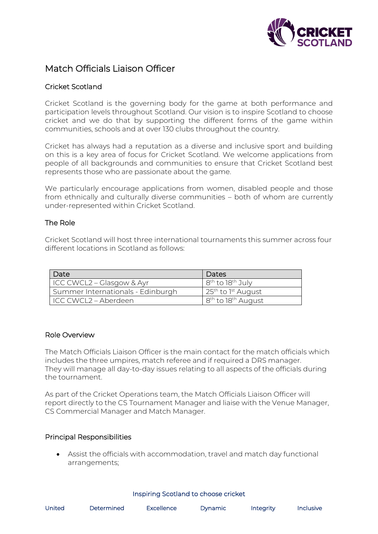

# Match Officials Liaison Officer

# Cricket Scotland

Cricket Scotland is the governing body for the game at both performance and participation levels throughout Scotland. Our vision is to inspire Scotland to choose cricket and we do that by supporting the different forms of the game within communities, schools and at over 130 clubs throughout the country.

Cricket has always had a reputation as a diverse and inclusive sport and building on this is a key area of focus for Cricket Scotland. We welcome applications from people of all backgrounds and communities to ensure that Cricket Scotland best represents those who are passionate about the game.

We particularly encourage applications from women, disabled people and those from ethnically and culturally diverse communities – both of whom are currently under-represented within Cricket Scotland.

#### The Role

Cricket Scotland will host three international tournaments this summer across four different locations in Scotland as follows:

| Date                              | Dates                                        |
|-----------------------------------|----------------------------------------------|
| ICC CWCL2 – Glasgow & Ayr         | 8 <sup>th</sup> to 18 <sup>th</sup> July     |
| Summer Internationals - Edinburgh | l 25 <sup>th</sup> to 1 <sup>st</sup> August |
| ICC CWCL2 – Aberdeen              | 8 <sup>th</sup> to 18 <sup>th</sup> August   |

#### Role Overview

The Match Officials Liaison Officer is the main contact for the match officials which includes the three umpires, match referee and if required a DRS manager. They will manage all day-to-day issues relating to all aspects of the officials during the tournament.

As part of the Cricket Operations team, the Match Officials Liaison Officer will report directly to the CS Tournament Manager and liaise with the Venue Manager, CS Commercial Manager and Match Manager.

## Principal Responsibilities

• Assist the officials with accommodation, travel and match day functional arrangements;

#### Inspiring Scotland to choose cricket

| United | Determined | Excellence | Dynamic | Integrity | Inclusive |
|--------|------------|------------|---------|-----------|-----------|
|        |            |            |         |           |           |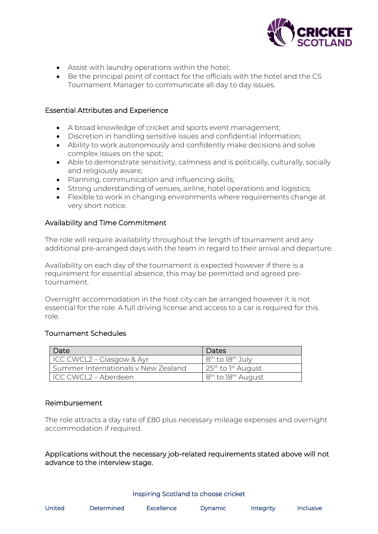

- Assist with laundry operations within the hotel;
- Be the principal point of contact for the officials with the hotel and the CS Tournament Manager to communicate all day to day issues.

### Essential Attributes and Experience

- A broad knowledge of cricket and sports event management;
- Discretion in handling sensitive issues and confidential information;
- Ability to work autonomously and confidently make decisions and solve complex issues on the spot;
- Able to demonstrate sensitivity, calmness and is politically, culturally, socially and religiously aware;
- Planning, communication and influencing skills;
- Strong understanding of venues, airline, hotel operations and logistics;
- Flexible to work in changing environments where requirements change at very short notice.

#### Availability and Time Commitment

The role will require availability throughout the length of tournament and any additional pre-arranged days with the team in regard to their arrival and departure.

Availability on each day of the tournament is expected however if there is a requirement for essential absence, this may be permitted and agreed pretournament.

Overnight accommodation in the host city can be arranged however it is not essential for the role. A full driving license and access to a car is required for this role.

## Tournament Schedules

| Date                                | Dates                                                  |
|-------------------------------------|--------------------------------------------------------|
| ICC CWCL2 - Glasgow & Ayr           | 8 <sup>th</sup> to 18 <sup>th</sup> July               |
| Summer Internationals v New Zealand | $\frac{1}{25}$ <sup>th</sup> to 1 <sup>st</sup> August |
| ICC CWCL2 - Aberdeen                | 8 <sup>th</sup> to 18 <sup>th</sup> August             |

#### Reimbursement

The role attracts a day rate of £80 plus necessary mileage expenses and overnight accommodation if required.

## Applications without the necessary job-related requirements stated above will not advance to the interview stage.

#### Inspiring Scotland to choose cricket

|  | United | Determined | <b>Excellence</b> | Dvnamic | Integrity | Inclusive |
|--|--------|------------|-------------------|---------|-----------|-----------|
|--|--------|------------|-------------------|---------|-----------|-----------|